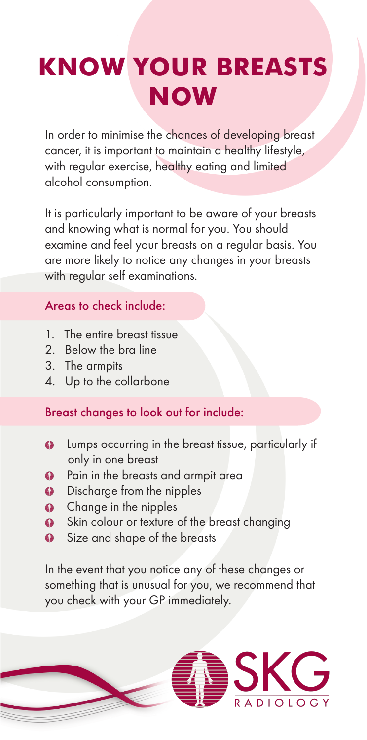# **KNOW YOUR BREASTS NOW**

In order to minimise the chances of developing breast cancer, it is important to maintain a healthy lifestyle, with regular exercise, healthy eating and limited alcohol consumption.

It is particularly important to be aware of your breasts and knowing what is normal for you. You should examine and feel your breasts on a regular basis. You are more likely to notice any changes in your breasts with regular self examinations.

## Areas to check include:

- 1. The entire breast tissue
- 2. Below the bra line
- 3. The armpits
- 4. Up to the collarbone

## Breast changes to look out for include:

- **Lumps occurring in the breast tissue, particularly if** only in one breast
- **•** Pain in the breasts and armpit area
- **9** Discharge from the nipples
- **Q** Change in the nipples
- Skin colour or texture of the breast changing
- **9** Size and shape of the breasts

In the event that you notice any of these changes or something that is unusual for you, we recommend that you check with your GP immediately.